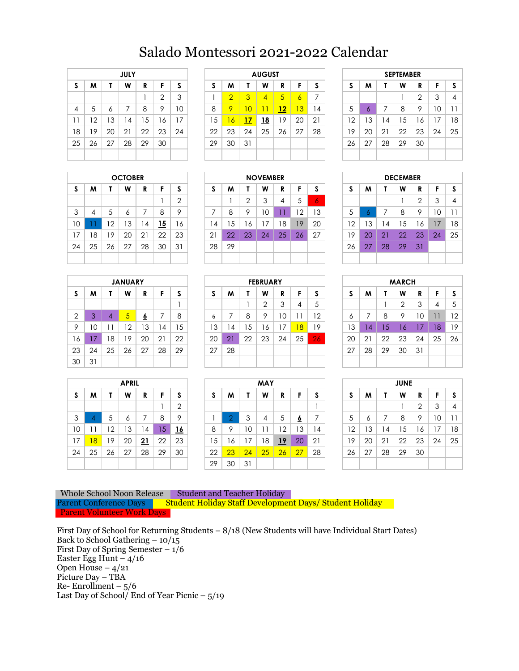## Salado Montessori 2021-2022 Calendar

| <b>JULY</b> |    |    |    |    |                |    |  |  |  |  |  |  |
|-------------|----|----|----|----|----------------|----|--|--|--|--|--|--|
| S           | M  | Т  | W  | R  | F              | S  |  |  |  |  |  |  |
|             |    |    |    | 1  | $\overline{2}$ | 3  |  |  |  |  |  |  |
| 4           | 5  | 6  | 7  | 8  | 9              | 10 |  |  |  |  |  |  |
| 11          | 12 | 13 | 14 | 15 | 16             | 17 |  |  |  |  |  |  |
| 18          | 19 | 20 | 21 | 22 | 23             | 24 |  |  |  |  |  |  |
| 25          | 26 | 27 | 28 | 29 | 30             |    |  |  |  |  |  |  |
|             |    |    |    |    |                |    |  |  |  |  |  |  |

|    | <b>OCTOBER</b> |    |    |    |    |                |  |  |  |  |  |  |  |  |
|----|----------------|----|----|----|----|----------------|--|--|--|--|--|--|--|--|
| S  | M              | т  | W  | R  | F  | S              |  |  |  |  |  |  |  |  |
|    |                |    |    |    | 1  | $\overline{2}$ |  |  |  |  |  |  |  |  |
| 3  | 4              | 5  | 6  | 7  | 8  | 9              |  |  |  |  |  |  |  |  |
| 10 | 11             | 12 | 13 | 14 | 15 | 16             |  |  |  |  |  |  |  |  |
| 17 | 18             | 19 | 20 | 21 | 22 | 23             |  |  |  |  |  |  |  |  |
| 24 | 25             | 26 | 27 | 28 | 30 | 31             |  |  |  |  |  |  |  |  |
|    |                |    |    |    |    |                |  |  |  |  |  |  |  |  |

| <b>JANUARY</b> |    |                |    |          |    |    |  |  |  |  |  |  |  |
|----------------|----|----------------|----|----------|----|----|--|--|--|--|--|--|--|
| S              | M  | τ              | W  | R        | F  | S  |  |  |  |  |  |  |  |
|                |    |                |    |          |    | 1  |  |  |  |  |  |  |  |
| $\overline{2}$ | 3  | $\overline{4}$ | 5  | <u>6</u> | 7  | 8  |  |  |  |  |  |  |  |
| 9              | 10 | 11             | 12 | 13       | 14 | 15 |  |  |  |  |  |  |  |
| 16             | 17 | 18             | 19 | 20       | 21 | 22 |  |  |  |  |  |  |  |
| 23             | 24 | 25             | 26 | 27       | 28 | 29 |  |  |  |  |  |  |  |
| 30             | 31 |                |    |          |    |    |  |  |  |  |  |  |  |

|    | <b>APRIL</b>   |    |    |    |    |              |  |  |  |  |  |  |  |  |
|----|----------------|----|----|----|----|--------------|--|--|--|--|--|--|--|--|
| S  | M              | т  | W  | R  | F  | S            |  |  |  |  |  |  |  |  |
|    |                |    |    |    |    | $\mathbf{2}$ |  |  |  |  |  |  |  |  |
| 3  | $\overline{4}$ | 5  | 6  | 7  | 8  | 9            |  |  |  |  |  |  |  |  |
| 10 | 11             | 12 | 13 | 14 | 15 | <u>16</u>    |  |  |  |  |  |  |  |  |
| 17 | 18             | 19 | 20 | 21 | 22 | 23           |  |  |  |  |  |  |  |  |
| 24 | 25             | 26 | 27 | 28 | 29 | 30           |  |  |  |  |  |  |  |  |
|    |                |    |    |    |    |              |  |  |  |  |  |  |  |  |

|    | <b>JULY</b> |    |    |        |    |        |
|----|-------------|----|----|--------|----|--------|
| S  | M           |    | W  | D<br>ĸ |    | e<br>a |
|    |             |    |    |        | ⌒  | 3      |
| 4  | 5           | Ō  |    | 8      | Q  | 10     |
|    | 12          | 3  | 4  | 5      | 6  | ⇁      |
| 18 | 19          | 20 | 21 | 22     | 23 | 24     |
| 25 | 26          | 27 | 28 | 29     | 30 |        |
|    |             |    |    |        |    |        |

|    | <b>OCTOBER</b> |    |    |                |            |    |                |    | <b>NOVEMBER</b> |          |    |    |    |    |        | <b>DECEMBER</b> |    |        |    |    |
|----|----------------|----|----|----------------|------------|----|----------------|----|-----------------|----------|----|----|----|----|--------|-----------------|----|--------|----|----|
| S  | M              |    | W  | R              |            | a  |                | M  |                 | W        | R  | F  | Æ. | a  | м      |                 | W  | R      | E  | S  |
|    |                |    |    |                |            | ∩  |                |    | ◠               | 3        | 4  | 5  | 6  |    |        |                 |    | $\cap$ | 3  | 4  |
| 3  | 4              | ა  | 6  |                | 8          | 9  |                | 8  | 9               | $\Omega$ |    | ۱2 | 13 | 5  |        |                 | 8  | Q      | 10 |    |
| 10 |                | 2  | IЗ | $\overline{4}$ | <u> 15</u> | 16 | $\overline{4}$ | Ċ  | 16              | 7        | 18 | 19 | 20 | 12 | 3      | 4               | 5  | 16     |    | 18 |
| ۱7 | 18             | ۱9 | 20 | 21             | 22         | 23 | 21             | 22 | 23              | 24       | 25 | 26 | 27 | 19 | 20     | 2 <sup>1</sup>  | 22 | 23     | 24 | 25 |
| 24 | 25             | 26 | 27 | 28             | 30         | 31 | 28             | 29 |                 |          |    |    |    | 26 | $\cap$ | 28              | 29 | 31     |    |    |
|    |                |    |    |                |            |    |                |    |                 |          |    |    |    |    |        |                 |    |        |    |    |

|                | <b>JANUARY</b> |    |            |    |                |        |    |    | <b>FEBRUARY</b> |        |    |    |    |    |                     | <b>MARCH</b> |    |    |    |    |
|----------------|----------------|----|------------|----|----------------|--------|----|----|-----------------|--------|----|----|----|----|---------------------|--------------|----|----|----|----|
| S              | M              |    | W          | R  |                | e<br>a | a  | м  |                 | W      | R  | F  | J. | J. | м                   |              | W  | R  |    | S  |
|                |                |    |            |    |                |        |    |    |                 | $\cap$ | 3  | 4  |    |    |                     |              | ⌒  | 3  | 4  | -5 |
| $\overline{2}$ | 3              | 4  | $\sqrt{5}$ | ≗  |                | 8      | 6  |    | 8               | Q      | 10 |    | 12 | 6  |                     | 8            | 9  | 10 |    | 12 |
| 9              | 10             |    | 12         | 3  | $\overline{4}$ | 5      | 13 | 4  | ا 5             | 6      |    | 18 | 19 | Ι3 | $\overline{4}$      | -5           | 16 |    | 8  | 19 |
| 16             | 7              | 8  | 19         | 20 | 21             | 22     | 20 | 21 | 22              | 23     | 24 | 25 | 26 | 20 | ົາ<br>$\mathcal{L}$ | 22           | 23 | 24 | 25 | 26 |
| 23             | 24             | 25 | 26         | 27 | 28             | 29     | 27 | 28 |                 |        |    |    |    | 27 | 28                  | 29           | 30 | 31 |    |    |
| 30             | 31             |    |            |    |                |        |    |    |                 |        |    |    |    |    |                     |              |    |    |    |    |

|    | <b>APRIL</b>             |    |    |    |    |    |    |    |    | <b>MAY</b> |    |                         |    |    |    |     |    | <b>JUNE</b> |    |
|----|--------------------------|----|----|----|----|----|----|----|----|------------|----|-------------------------|----|----|----|-----|----|-------------|----|
| S  | M                        |    | W  | R  |    | c  | S  | M  |    | W          | R  | F.                      |    | C  | м  |     | W  | R           |    |
|    |                          |    |    |    |    | っ  |    |    |    |            |    |                         |    |    |    |     |    | っ           | 3  |
| 3  | 4                        |    | 6  |    | 8  | 9  |    |    | 3  | 4          | 5  | $\overline{\mathbf{c}}$ |    | 5  | 6  |     | 8  | 9           | 10 |
| 10 | $\overline{\phantom{a}}$ | 12 | 13 | 4  | 15 | 16 | 8  | 9  | 10 |            | 12 | 13                      | 14 | 12 | 13 | ا 4 | 15 | 16          |    |
| 17 | 18                       | 19 | 20 | 21 | 22 | 23 | 15 | 16 | 17 | 18         | 19 | 20                      | 21 | 19 | 20 | 21  | 22 | 23          | 24 |
| 24 | 25                       | 26 | 27 | 28 | 29 | 30 | 22 | 23 | 24 | 25         | 26 | $\sqrt{27}$             | 28 | 26 | 27 | 28  | 29 | 30          |    |
|    |                          |    |    |    |    |    | 29 | 30 | 31 |            |    |                         |    |    |    |     |    |             |    |

| <b>SEPTEMBER</b>                |    |    |    |                |    |    |  |  |  |  |  |  |  |  |
|---------------------------------|----|----|----|----------------|----|----|--|--|--|--|--|--|--|--|
| S<br>S<br>F<br>м<br>W<br>R<br>т |    |    |    |                |    |    |  |  |  |  |  |  |  |  |
|                                 |    |    |    | $\overline{2}$ | 3  | 4  |  |  |  |  |  |  |  |  |
| 5                               | 6  | 7  | 8  | 9              | 10 | 11 |  |  |  |  |  |  |  |  |
| 12                              | 13 | 14 | 15 | 16             | 17 | 18 |  |  |  |  |  |  |  |  |
| 19                              | 20 | 21 | 22 | 23             | 24 | 25 |  |  |  |  |  |  |  |  |
| 26                              | 27 | 28 | 29 | 30             |    |    |  |  |  |  |  |  |  |  |
|                                 |    |    |    |                |    |    |  |  |  |  |  |  |  |  |

| <b>DECEMBER</b>                   |    |    |    |                |    |    |  |  |  |  |  |  |  |
|-----------------------------------|----|----|----|----------------|----|----|--|--|--|--|--|--|--|
| S                                 | M  | T  | W  | R              | F  | S  |  |  |  |  |  |  |  |
|                                   |    |    |    | $\overline{2}$ | 3  | 4  |  |  |  |  |  |  |  |
| 5<br>6<br>8<br>9<br>10<br>7<br>11 |    |    |    |                |    |    |  |  |  |  |  |  |  |
| 12                                | 13 | 14 | 15 | 16             | 17 | 18 |  |  |  |  |  |  |  |
| 19                                | 20 | 21 | 22 | 23             | 24 | 25 |  |  |  |  |  |  |  |
| 26                                | 27 | 28 | 29 | 31             |    |    |  |  |  |  |  |  |  |
|                                   |    |    |    |                |    |    |  |  |  |  |  |  |  |

| <b>MARCH</b> |    |    |                |    |    |    |  |  |  |  |  |  |
|--------------|----|----|----------------|----|----|----|--|--|--|--|--|--|
| S            | M  | т  | W              | R  | F  | S  |  |  |  |  |  |  |
|              |    | 1  | $\overline{2}$ | 3  | 4  | 5  |  |  |  |  |  |  |
| 6            | 7  | 8  | 9              | 10 | 11 | 12 |  |  |  |  |  |  |
| 13           | 14 | 15 | 16             | 17 | 18 | 19 |  |  |  |  |  |  |
| 20           | 21 | 22 | 23             | 24 | 25 | 26 |  |  |  |  |  |  |
| 27           | 28 | 29 | 30             | 31 |    |    |  |  |  |  |  |  |
|              |    |    |                |    |    |    |  |  |  |  |  |  |

| <b>JUNE</b> |    |    |    |                |    |    |  |  |  |  |  |  |
|-------------|----|----|----|----------------|----|----|--|--|--|--|--|--|
| S           | W  | т  | W  | R              | F  | S  |  |  |  |  |  |  |
|             |    |    | 1  | $\overline{2}$ | 3  | 4  |  |  |  |  |  |  |
| 5           | 6  | 7  | 8  | 9              | 10 | 11 |  |  |  |  |  |  |
| 12          | 13 | 14 | 15 | 16             | 17 | 18 |  |  |  |  |  |  |
| 19          | 20 | 21 | 22 | 23             | 24 | 25 |  |  |  |  |  |  |
| 26          | 27 | 28 | 29 | 30             |    |    |  |  |  |  |  |  |
|             |    |    |    |                |    |    |  |  |  |  |  |  |

## Parent Conference Days **Student Holiday Staff Development Days/Student Holiday** Student and Teacher Holiday Whole School Noon Release

Parent Volunteer Work Days

First Day of School for Returning Students – 8/18 (New Students will have Individual Start Dates) Back to School Gathering  $-10/15$ First Day of Spring Semester – 1/6 Easter Egg Hunt – 4/16 Open House – 4/21 Picture Day – TBA Re- Enrollment – 5/6 Last Day of School/ End of Year Picnic – 5/19